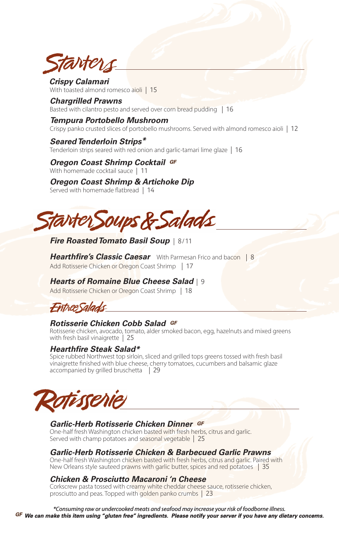tarters

*Crispy Calamari*  With toasted almond romesco aioli **15**

*Chargrilled Prawns* Basted with cilantro pesto and served over corn bread pudding **16**

### *Tempura Portobello Mushroom*

Crispy panko crusted slices of portobello mushrooms. Served with almond romesco aioli **12**

#### *Seared Tenderloin Strips\**

Tenderloin strips seared with red onion and garlic-tamari lime glaze **16**

*Oregon Coast Shrimp Cocktail GF* With homemade cocktail sauce **11**

# *Oregon Coast Shrimp & Artichoke Dip*

Served with homemade flatbread **14**



# *Fire Roasted Tomato Basil Soup* **8 / 11**

*Hearthfire's Classic Caesar* With Parmesan Frico and bacon **8** Add Rotisserie Chicken or Oregon Coast Shrimp **17**

# *Hearts of Romaine Blue Cheese Salad* **9**

Add Rotisserie Chicken or Oregon Coast Shrimp **18**

Entree Salads

# *Rotisserie Chicken Cobb Salad GF*

Rotisserie chicken, avocado, tomato, alder smoked bacon, egg, hazelnuts and mixed greens with fresh basil vinaigrette **25**

# *Hearthfire Steak Salad\**

Spice rubbed Northwest top sirloin, sliced and grilled tops greens tossed with fresh basil vinaigrette finished with blue cheese, cherry tomatoes, cucumbers and balsamic glaze accompanied by grilled bruschetta **29**



# *Garlic-Herb Rotisserie Chicken Dinner GF*

One-half fresh Washington chicken basted with fresh herbs, citrus and garlic. Served with champ potatoes and seasonal vegetable **25**

# *Garlic-Herb Rotisserie Chicken & Barbecued Garlic Prawns*

One-half fresh Washington chicken basted with fresh herbs, citrus and garlic. Paired with New Orleans style sauteed prawns with garlic butter, spices and red potatoes **35**

# *Chicken & Prosciutto Macaroni 'n Cheese*

Corkscrew pasta tossed with creamy white cheddar cheese sauce, rotisserie chicken, prosciutto and peas. Topped with golden panko crumbs **23**

\*Consuming raw or undercooked meats and seafood may increase your risk of foodborne illness.<br>GF We can make this item using "gluten free" ingredients. Please notify your server if you have any dietary concerns.